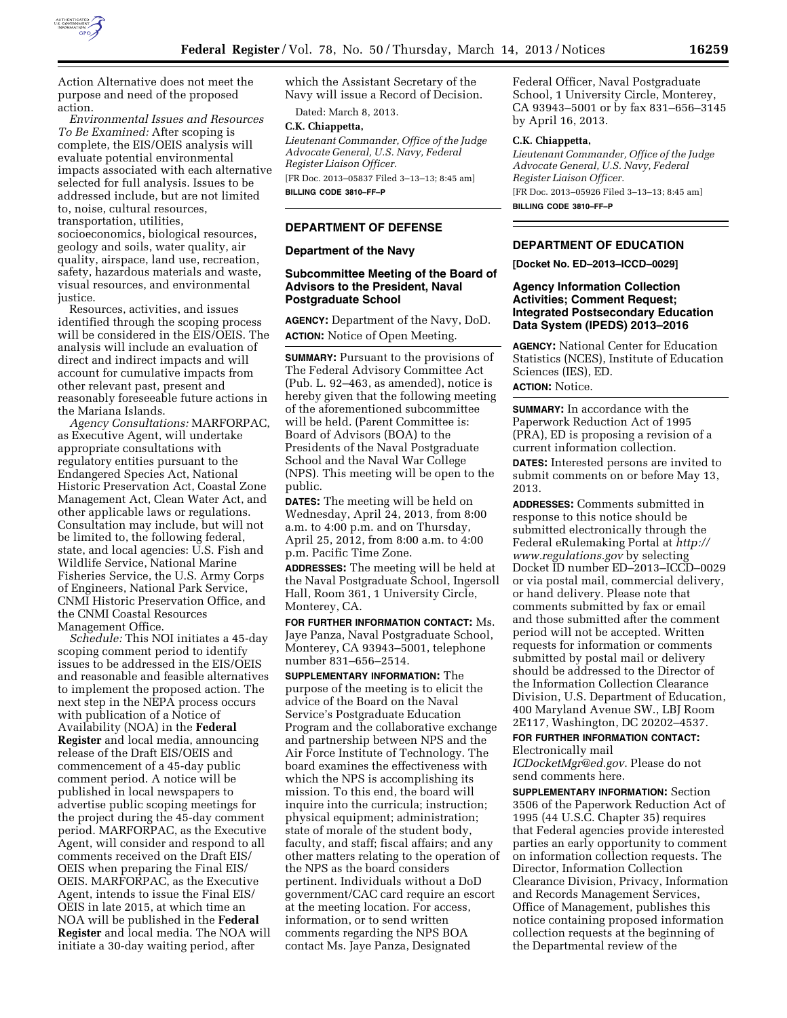

Action Alternative does not meet the purpose and need of the proposed action.

*Environmental Issues and Resources To Be Examined:* After scoping is complete, the EIS/OEIS analysis will evaluate potential environmental impacts associated with each alternative selected for full analysis. Issues to be addressed include, but are not limited to, noise, cultural resources, transportation, utilities, socioeconomics, biological resources, geology and soils, water quality, air quality, airspace, land use, recreation, safety, hazardous materials and waste, visual resources, and environmental justice.

Resources, activities, and issues identified through the scoping process will be considered in the EIS/OEIS. The analysis will include an evaluation of direct and indirect impacts and will account for cumulative impacts from other relevant past, present and reasonably foreseeable future actions in the Mariana Islands.

*Agency Consultations:* MARFORPAC, as Executive Agent, will undertake appropriate consultations with regulatory entities pursuant to the Endangered Species Act, National Historic Preservation Act, Coastal Zone Management Act, Clean Water Act, and other applicable laws or regulations. Consultation may include, but will not be limited to, the following federal, state, and local agencies: U.S. Fish and Wildlife Service, National Marine Fisheries Service, the U.S. Army Corps of Engineers, National Park Service, CNMI Historic Preservation Office, and the CNMI Coastal Resources Management Office.

*Schedule:* This NOI initiates a 45-day scoping comment period to identify issues to be addressed in the EIS/OEIS and reasonable and feasible alternatives to implement the proposed action. The next step in the NEPA process occurs with publication of a Notice of Availability (NOA) in the **Federal Register** and local media, announcing release of the Draft EIS/OEIS and commencement of a 45-day public comment period. A notice will be published in local newspapers to advertise public scoping meetings for the project during the 45-day comment period. MARFORPAC, as the Executive Agent, will consider and respond to all comments received on the Draft EIS/ OEIS when preparing the Final EIS/ OEIS. MARFORPAC, as the Executive Agent, intends to issue the Final EIS/ OEIS in late 2015, at which time an NOA will be published in the **Federal Register** and local media. The NOA will initiate a 30-day waiting period, after

which the Assistant Secretary of the Navy will issue a Record of Decision.

Dated: March 8, 2013.

# **C.K. Chiappetta,**

*Lieutenant Commander, Office of the Judge Advocate General, U.S. Navy, Federal Register Liaison Officer.* 

[FR Doc. 2013–05837 Filed 3–13–13; 8:45 am] **BILLING CODE 3810–FF–P** 

### **DEPARTMENT OF DEFENSE**

#### **Department of the Navy**

### **Subcommittee Meeting of the Board of Advisors to the President, Naval Postgraduate School**

**AGENCY:** Department of the Navy, DoD. **ACTION:** Notice of Open Meeting.

**SUMMARY:** Pursuant to the provisions of The Federal Advisory Committee Act (Pub. L. 92–463, as amended), notice is hereby given that the following meeting of the aforementioned subcommittee will be held. (Parent Committee is: Board of Advisors (BOA) to the Presidents of the Naval Postgraduate School and the Naval War College (NPS). This meeting will be open to the public.

**DATES:** The meeting will be held on Wednesday, April 24, 2013, from 8:00 a.m. to 4:00 p.m. and on Thursday, April 25, 2012, from 8:00 a.m. to 4:00 p.m. Pacific Time Zone.

**ADDRESSES:** The meeting will be held at the Naval Postgraduate School, Ingersoll Hall, Room 361, 1 University Circle, Monterey, CA.

**FOR FURTHER INFORMATION CONTACT:** Ms. Jaye Panza, Naval Postgraduate School, Monterey, CA 93943–5001, telephone number 831–656–2514.

**SUPPLEMENTARY INFORMATION:** The purpose of the meeting is to elicit the advice of the Board on the Naval Service's Postgraduate Education Program and the collaborative exchange and partnership between NPS and the Air Force Institute of Technology. The board examines the effectiveness with which the NPS is accomplishing its mission. To this end, the board will inquire into the curricula; instruction; physical equipment; administration; state of morale of the student body, faculty, and staff; fiscal affairs; and any other matters relating to the operation of the NPS as the board considers pertinent. Individuals without a DoD government/CAC card require an escort at the meeting location. For access, information, or to send written comments regarding the NPS BOA contact Ms. Jaye Panza, Designated

Federal Officer, Naval Postgraduate School, 1 University Circle, Monterey, CA 93943–5001 or by fax 831–656–3145 by April 16, 2013.

### **C.K. Chiappetta,**

*Lieutenant Commander, Office of the Judge Advocate General, U.S. Navy, Federal Register Liaison Officer.*  [FR Doc. 2013–05926 Filed 3–13–13; 8:45 am] **BILLING CODE 3810–FF–P** 

## **DEPARTMENT OF EDUCATION**

**[Docket No. ED–2013–ICCD–0029]** 

### **Agency Information Collection Activities; Comment Request; Integrated Postsecondary Education Data System (IPEDS) 2013–2016**

**AGENCY:** National Center for Education Statistics (NCES), Institute of Education Sciences (IES), ED. **ACTION:** Notice.

### **SUMMARY:** In accordance with the Paperwork Reduction Act of 1995 (PRA), ED is proposing a revision of a current information collection.

**DATES:** Interested persons are invited to submit comments on or before May 13, 2013.

**ADDRESSES:** Comments submitted in response to this notice should be submitted electronically through the Federal eRulemaking Portal at *[http://](http://www.regulations.gov) [www.regulations.gov](http://www.regulations.gov)* by selecting Docket ID number ED–2013–ICCD–0029 or via postal mail, commercial delivery, or hand delivery. Please note that comments submitted by fax or email and those submitted after the comment period will not be accepted. Written requests for information or comments submitted by postal mail or delivery should be addressed to the Director of the Information Collection Clearance Division, U.S. Department of Education, 400 Maryland Avenue SW., LBJ Room 2E117, Washington, DC 20202–4537.

# **FOR FURTHER INFORMATION CONTACT:**

Electronically mail

*[ICDocketMgr@ed.gov](mailto:ICDocketMgr@ed.gov)*. Please do not send comments here.

**SUPPLEMENTARY INFORMATION:** Section 3506 of the Paperwork Reduction Act of 1995 (44 U.S.C. Chapter 35) requires that Federal agencies provide interested parties an early opportunity to comment on information collection requests. The Director, Information Collection Clearance Division, Privacy, Information and Records Management Services, Office of Management, publishes this notice containing proposed information collection requests at the beginning of the Departmental review of the